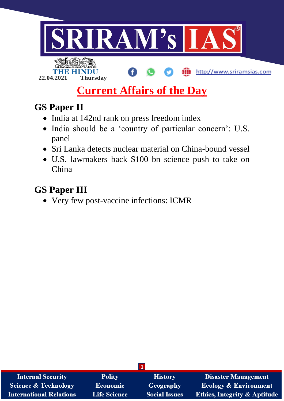

# **Current Affairs of the Day**

# **GS Paper II**

- India at 142nd rank on press freedom index
- India should be a 'country of particular concern': U.S. panel
- Sri Lanka detects nuclear material on China-bound vessel
- U.S. lawmakers back \$100 bn science push to take on China

# **GS Paper III**

• Very few post-vaccine infections: ICMR

| <b>Internal Security</b>        | <b>Polity</b>       | <b>History</b>       | <b>Disaster Management</b>              |
|---------------------------------|---------------------|----------------------|-----------------------------------------|
| <b>Science &amp; Technology</b> | <b>Economic</b>     | Geography            | <b>Ecology &amp; Environment</b>        |
| <b>International Relations</b>  | <b>Life Science</b> | <b>Social Issues</b> | <b>Ethics, Integrity &amp; Aptitude</b> |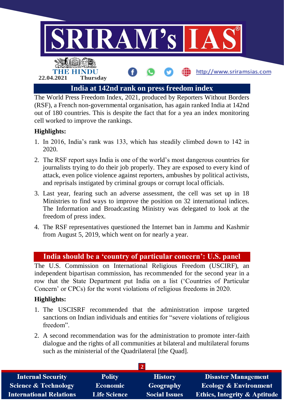

The World Press Freedom Index, 2021, produced by Reporters Without Borders (RSF), a French non-governmental organisation, has again ranked India at 142nd out of 180 countries. This is despite the fact that for a yea an index monitoring cell worked to improve the rankings.

#### **Highlights:**

- 1. In 2016, India's rank was 133, which has steadily climbed down to 142 in 2020.
- 2. The RSF report says India is one of the world's most dangerous countries for journalists trying to do their job properly. They are exposed to every kind of attack, even police violence against reporters, ambushes by political activists, and reprisals instigated by criminal groups or corrupt local officials.
- 3. Last year, fearing such an adverse assessment, the cell was set up in 18 Ministries to find ways to improve the position on 32 international indices. The Information and Broadcasting Ministry was delegated to look at the freedom of press index.
- 4. The RSF representatives questioned the Internet ban in Jammu and Kashmir from August 5, 2019, which went on for nearly a year.

### **India should be a 'country of particular concern': U.S. panel**

The U.S. Commission on International Religious Freedom (USCIRF), an independent bipartisan commission, has recommended for the second year in a row that the State Department put India on a list ('Countries of Particular Concern' or CPCs) for the worst violations of religious freedoms in 2020.

#### **Highlights:**

- 1. The USCISRF recommended that the administration impose targeted sanctions on Indian individuals and entities for "severe violations of religious freedom".
- 2. A second recommendation was for the administration to promote inter-faith dialogue and the rights of all communities at bilateral and multilateral forums such as the ministerial of the Quadrilateral [the Quad].

| <b>Internal Security</b>        | <b>Polity</b>       | <b>History</b>       | <b>Disaster Management</b>              |  |  |  |
|---------------------------------|---------------------|----------------------|-----------------------------------------|--|--|--|
| <b>Science &amp; Technology</b> | <b>Economic</b>     | Geography            | <b>Ecology &amp; Environment</b>        |  |  |  |
| <b>International Relations</b>  | <b>Life Science</b> | <b>Social Issues</b> | <b>Ethics, Integrity &amp; Aptitude</b> |  |  |  |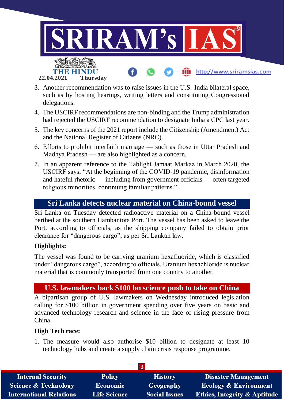

- 3. Another recommendation was to raise issues in the U.S.-India bilateral space, such as by hosting hearings, writing letters and constituting Congressional delegations.
- 4. The USCIRF recommendations are non-binding and the Trump administration had rejected the USCIRF recommendation to designate India a CPC last year.
- 5. The key concerns of the 2021 report include the Citizenship (Amendment) Act and the National Register of Citizens (NRC).
- 6. Efforts to prohibit interfaith marriage such as those in Uttar Pradesh and Madhya Pradesh — are also highlighted as a concern.
- 7. In an apparent reference to the Tablighi Jamaat Markaz in March 2020, the USCIRF says, "At the beginning of the COVID-19 pandemic, disinformation and hateful rhetoric — including from government officials — often targeted religious minorities, continuing familiar patterns."

#### **Sri Lanka detects nuclear material on China-bound vessel**

Sri Lanka on Tuesday detected radioactive material on a China-bound vessel berthed at the southern Hambantota Port. The vessel has been asked to leave the Port, according to officials, as the shipping company failed to obtain prior clearance for "dangerous cargo", as per Sri Lankan law.

#### **Highlights:**

The vessel was found to be carrying uranium hexafluoride, which is classified under "dangerous cargo", according to officials. Uranium hexachloride is nuclear material that is commonly transported from one country to another.

## **U.S. lawmakers back \$100 bn science push to take on China**

A bipartisan group of U.S. lawmakers on Wednesday introduced legislation calling for \$100 billion in government spending over five years on basic and advanced technology research and science in the face of rising pressure from China.

#### **High Tech race:**

1. The measure would also authorise \$10 billion to designate at least 10 technology hubs and create a supply chain crisis response programme.

| <b>Internal Security</b>        | <b>Polity</b>       | <b>History</b>       | <b>Disaster Management</b>              |  |  |  |
|---------------------------------|---------------------|----------------------|-----------------------------------------|--|--|--|
| <b>Science &amp; Technology</b> | <b>Economic</b>     | Geography            | <b>Ecology &amp; Environment</b>        |  |  |  |
| <b>International Relations</b>  | <b>Life Science</b> | <b>Social Issues</b> | <b>Ethics, Integrity &amp; Aptitude</b> |  |  |  |